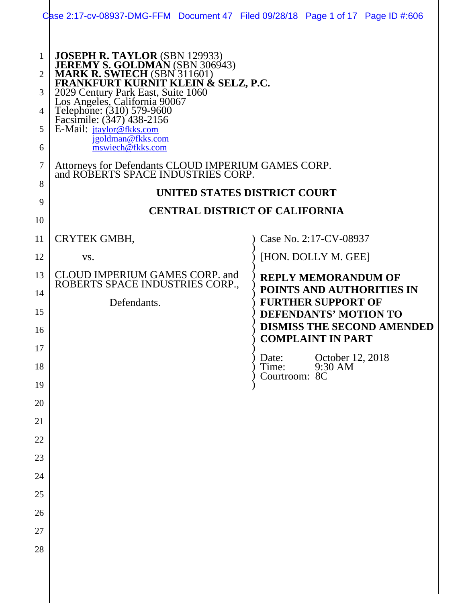|                                              | Case 2:17-cv-08937-DMG-FFM Document 47 Filed 09/28/18 Page 1 of 17 Page ID #:606                                                                                                                                                                                                                                                                                                                                      |  |                                                                                               |  |
|----------------------------------------------|-----------------------------------------------------------------------------------------------------------------------------------------------------------------------------------------------------------------------------------------------------------------------------------------------------------------------------------------------------------------------------------------------------------------------|--|-----------------------------------------------------------------------------------------------|--|
| 1<br>$\overline{2}$<br>3<br>4<br>5<br>6<br>7 | JOSEPH R. TAYLOR (SBN 129933)<br>JEREMY S. GOLDMAN (SBN 306943)<br>MARK R. SWIECH (SBN 311601)<br>FRANKFURT KURNIT KLEIN & SELZ, P.C.<br>2029 Century Park East, Suite 1060<br>Los Angeles, California 90067<br>Telephone: (310) 579-9600<br>Facsim<br>E-Mail: jtaylor@fkks.com<br>igoldman@fkks.com<br>mswiech@fkks.com<br>Attorneys for Defendants CLOUD IMPERIUM GAMES CORP.<br>and ROBERTS SPACE INDUSTRIES CORP. |  |                                                                                               |  |
| 8                                            |                                                                                                                                                                                                                                                                                                                                                                                                                       |  |                                                                                               |  |
| 9                                            | UNITED STATES DISTRICT COURT<br><b>CENTRAL DISTRICT OF CALIFORNIA</b>                                                                                                                                                                                                                                                                                                                                                 |  |                                                                                               |  |
| 10                                           |                                                                                                                                                                                                                                                                                                                                                                                                                       |  |                                                                                               |  |
| 11                                           | CRYTEK GMBH,                                                                                                                                                                                                                                                                                                                                                                                                          |  | Case No. 2:17-CV-08937                                                                        |  |
| 12                                           | VS.                                                                                                                                                                                                                                                                                                                                                                                                                   |  | [HON. DOLLY M. GEE]                                                                           |  |
| 13                                           | CLOUD IMPERIUM GAMES CORP. and<br>ROBERTS SPACE INDUSTRIES CORP.,                                                                                                                                                                                                                                                                                                                                                     |  | <b>REPLY MEMORANDUM OF</b>                                                                    |  |
| 14                                           | Defendants.                                                                                                                                                                                                                                                                                                                                                                                                           |  | POINTS AND AUTHORITIES IN<br><b>FURTHER SUPPORT OF</b>                                        |  |
| 15<br>16                                     |                                                                                                                                                                                                                                                                                                                                                                                                                       |  | <b>DEFENDANTS' MOTION TO</b><br><b>DISMISS THE SECOND AMENDED</b><br><b>COMPLAINT IN PART</b> |  |
| 17                                           |                                                                                                                                                                                                                                                                                                                                                                                                                       |  | October 12, 2018<br>Date:                                                                     |  |
| 18                                           |                                                                                                                                                                                                                                                                                                                                                                                                                       |  | Time:<br>9:30 AM<br>Courtroom: 8C                                                             |  |
| 19                                           |                                                                                                                                                                                                                                                                                                                                                                                                                       |  |                                                                                               |  |
| 20<br>21                                     |                                                                                                                                                                                                                                                                                                                                                                                                                       |  |                                                                                               |  |
| 22                                           |                                                                                                                                                                                                                                                                                                                                                                                                                       |  |                                                                                               |  |
| 23                                           |                                                                                                                                                                                                                                                                                                                                                                                                                       |  |                                                                                               |  |
| 24                                           |                                                                                                                                                                                                                                                                                                                                                                                                                       |  |                                                                                               |  |
| 25                                           |                                                                                                                                                                                                                                                                                                                                                                                                                       |  |                                                                                               |  |
| 26                                           |                                                                                                                                                                                                                                                                                                                                                                                                                       |  |                                                                                               |  |
| 27                                           |                                                                                                                                                                                                                                                                                                                                                                                                                       |  |                                                                                               |  |
| 28                                           |                                                                                                                                                                                                                                                                                                                                                                                                                       |  |                                                                                               |  |
|                                              |                                                                                                                                                                                                                                                                                                                                                                                                                       |  |                                                                                               |  |
|                                              |                                                                                                                                                                                                                                                                                                                                                                                                                       |  |                                                                                               |  |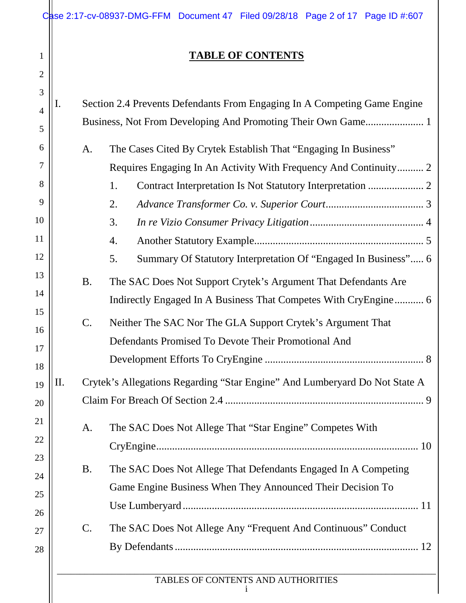|                | Case 2:17-cv-08937-DMG-FFM Document 47 Filed 09/28/18 Page 2 of 17 Page ID #:607 |                          |  |
|----------------|----------------------------------------------------------------------------------|--------------------------|--|
|                |                                                                                  | <b>TABLE OF CONTENTS</b> |  |
| $\overline{2}$ |                                                                                  |                          |  |
|                |                                                                                  |                          |  |

| $\overline{4}$ | I.  | Section 2.4 Prevents Defendants From Engaging In A Competing Game Engine |                                                                            |  |
|----------------|-----|--------------------------------------------------------------------------|----------------------------------------------------------------------------|--|
| 5              |     |                                                                          |                                                                            |  |
| 6              |     | A.                                                                       | The Cases Cited By Crytek Establish That "Engaging In Business"            |  |
| 7              |     |                                                                          | Requires Engaging In An Activity With Frequency And Continuity 2           |  |
| 8              |     |                                                                          | 1.                                                                         |  |
| 9              |     |                                                                          | 2.                                                                         |  |
| 10             |     |                                                                          | 3.                                                                         |  |
| 11             |     |                                                                          | 4.                                                                         |  |
| 12             |     |                                                                          |                                                                            |  |
| 13             |     |                                                                          | 5.<br>Summary Of Statutory Interpretation Of "Engaged In Business" 6       |  |
|                |     | <b>B.</b>                                                                | The SAC Does Not Support Crytek's Argument That Defendants Are             |  |
| 14             |     |                                                                          | Indirectly Engaged In A Business That Competes With CryEngine 6            |  |
| 15<br>16       |     | $C$ .                                                                    | Neither The SAC Nor The GLA Support Crytek's Argument That                 |  |
| 17             |     |                                                                          | Defendants Promised To Devote Their Promotional And                        |  |
| 18             |     |                                                                          |                                                                            |  |
| 19             | II. |                                                                          | Crytek's Allegations Regarding "Star Engine" And Lumberyard Do Not State A |  |
| 20             |     |                                                                          |                                                                            |  |
| 21             |     |                                                                          |                                                                            |  |
| 22             |     | A.                                                                       | The SAC Does Not Allege That "Star Engine" Competes With                   |  |
| 23             |     |                                                                          |                                                                            |  |
| 24             |     | <b>B.</b>                                                                | The SAC Does Not Allege That Defendants Engaged In A Competing             |  |
| 25             |     |                                                                          | Game Engine Business When They Announced Their Decision To                 |  |
| 26             |     |                                                                          |                                                                            |  |
| 27             |     | $\mathcal{C}$ .                                                          | The SAC Does Not Allege Any "Frequent And Continuous" Conduct              |  |
| 28             |     |                                                                          |                                                                            |  |
|                |     |                                                                          |                                                                            |  |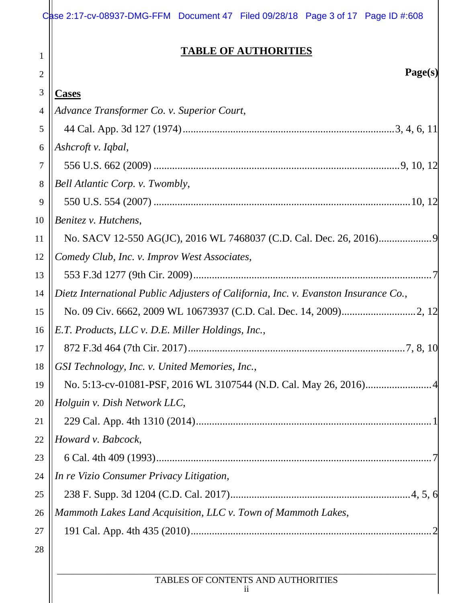|                | Case 2:17-cv-08937-DMG-FFM Document 47 Filed 09/28/18 Page 3 of 17 Page ID #:608    |
|----------------|-------------------------------------------------------------------------------------|
| 1              | <b>TABLE OF AUTHORITIES</b>                                                         |
| $\overline{2}$ | Page(s)                                                                             |
| $\mathfrak{Z}$ | <b>Cases</b>                                                                        |
| $\overline{4}$ | Advance Transformer Co. v. Superior Court,                                          |
| 5              |                                                                                     |
| 6              | Ashcroft v. Iqbal,                                                                  |
| 7              |                                                                                     |
| 8              | Bell Atlantic Corp. v. Twombly,                                                     |
| 9              |                                                                                     |
| 10             | Benitez v. Hutchens,                                                                |
| 11             |                                                                                     |
| 12             | Comedy Club, Inc. v. Improv West Associates,                                        |
| 13             |                                                                                     |
| 14             | Dietz International Public Adjusters of California, Inc. v. Evanston Insurance Co., |
| 15             |                                                                                     |
| 16             | E.T. Products, LLC v. D.E. Miller Holdings, Inc.,                                   |
| 17             |                                                                                     |
| 18             | GSI Technology, Inc. v. United Memories, Inc.,                                      |
| 19             |                                                                                     |
| 20             | Holguin v. Dish Network LLC,                                                        |
| 21             |                                                                                     |
| 22             | Howard v. Babcock,                                                                  |
| 23             |                                                                                     |
| 24             | In re Vizio Consumer Privacy Litigation,                                            |
| 25             |                                                                                     |
| 26             | Mammoth Lakes Land Acquisition, LLC v. Town of Mammoth Lakes,                       |
| 27             |                                                                                     |
| 28             |                                                                                     |
|                |                                                                                     |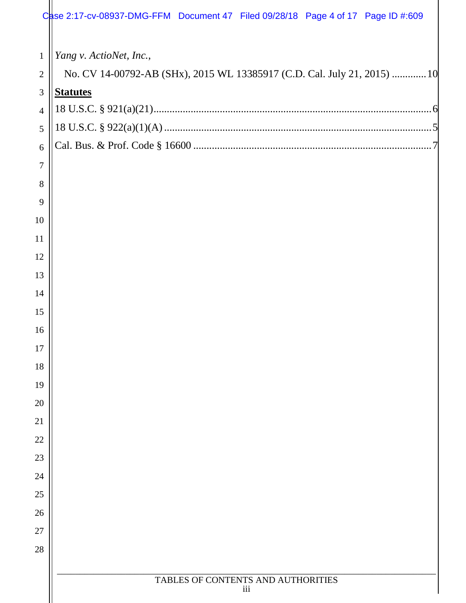| $\mathbf{1}$   | Yang v. ActioNet, Inc.,                                                  |
|----------------|--------------------------------------------------------------------------|
| $\mathbf{2}$   | No. CV 14-00792-AB (SHx), 2015 WL 13385917 (C.D. Cal. July 21, 2015)  10 |
| $\mathfrak{Z}$ | <b>Statutes</b>                                                          |
| $\overline{4}$ |                                                                          |
| 5              |                                                                          |
| 6              |                                                                          |
| $\tau$         |                                                                          |
| 8              |                                                                          |
| 9              |                                                                          |
| 10             |                                                                          |
| 11             |                                                                          |
| 12             |                                                                          |
| 13             |                                                                          |
| 14             |                                                                          |
| 15             |                                                                          |
| 16             |                                                                          |
| 17             |                                                                          |
| 18             |                                                                          |
| 19             |                                                                          |
| 20             |                                                                          |
| 21             |                                                                          |
| 22             |                                                                          |
| 23             |                                                                          |
| 24             |                                                                          |
| 25             |                                                                          |
| 26             |                                                                          |
| 27             |                                                                          |
| 28             |                                                                          |
|                | TABLES OF CONTENTS AND AUTHORITIES                                       |
|                | iii                                                                      |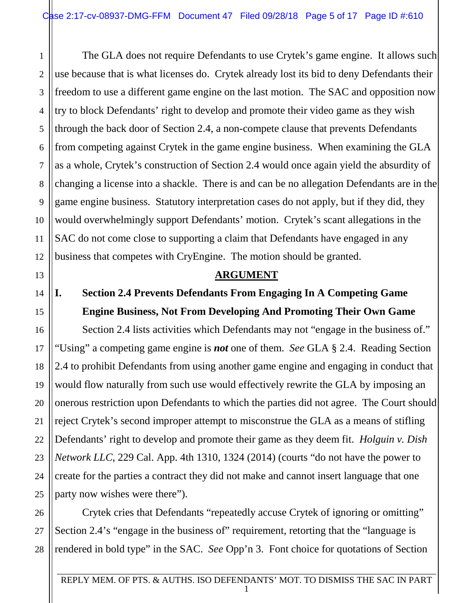1 2 3 4 5 The GLA does not require Defendants to use Crytek's game engine. It allows such use because that is what licenses do. Crytek already lost its bid to deny Defendants their freedom to use a different game engine on the last motion. The SAC and opposition now try to block Defendants' right to develop and promote their video game as they wish through the back door of Section 2.4, a non-compete clause that prevents Defendants from competing against Crytek in the game engine business. When examining the GLA as a whole, Crytek's construction of Section 2.4 would once again yield the absurdity of changing a license into a shackle. There is and can be no allegation Defendants are in the game engine business. Statutory interpretation cases do not apply, but if they did, they would overwhelmingly support Defendants' motion. Crytek's scant allegations in the SAC do not come close to supporting a claim that Defendants have engaged in any business that competes with CryEngine. The motion should be granted.

### **ARGUMENT**

## **I. Section 2.4 Prevents Defendants From Engaging In A Competing Game Engine Business, Not From Developing And Promoting Their Own Game**

Section 2.4 lists activities which Defendants may not "engage in the business of." "Using" a competing game engine is *not* one of them. *See* GLA § 2.4. Reading Section 2.4 to prohibit Defendants from using another game engine and engaging in conduct that would flow naturally from such use would effectively rewrite the GLA by imposing an onerous restriction upon Defendants to which the parties did not agree. The Court should reject Crytek's second improper attempt to misconstrue the GLA as a means of stifling Defendants' right to develop and promote their game as they deem fit. *Holguin v. Dish Network LLC*, 229 Cal. App. 4th 1310, 1324 (2014) (courts "do not have the power to create for the parties a contract they did not make and cannot insert language that one party now wishes were there").

Crytek cries that Defendants "repeatedly accuse Crytek of ignoring or omitting" Section 2.4's "engage in the business of" requirement, retorting that the "language is rendered in bold type" in the SAC. *See* Opp'n 3. Font choice for quotations of Section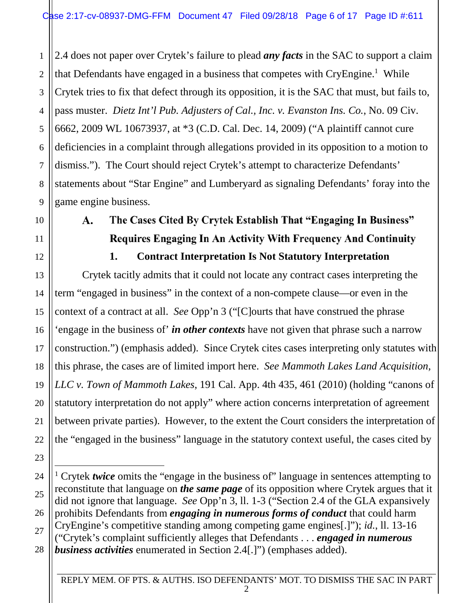1 2 3 4 5 6 7 8 9 2.4 does not paper over Crytek's failure to plead *any facts* in the SAC to support a claim that Defendants have engaged in a business that competes with CryEngine.<sup>1</sup> While Crytek tries to fix that defect through its opposition, it is the SAC that must, but fails to, pass muster. *Dietz Int'l Pub. Adjusters of Cal., Inc. v. Evanston Ins. Co.*, No. 09 Civ. 6662, 2009 WL 10673937, at \*3 (C.D. Cal. Dec. 14, 2009) ("A plaintiff cannot cure deficiencies in a complaint through allegations provided in its opposition to a motion to dismiss."). The Court should reject Crytek's attempt to characterize Defendants' statements about "Star Engine" and Lumberyard as signaling Defendants' foray into the game engine business.

10

11

12

13

14

15

16

17

18

19

20

21

22

23

## A. The Cases Cited By Crytek Establish That "Engaging In Business" Requires Engaging In An Activity With Frequency And Continuity **1. Contract Interpretation Is Not Statutory Interpretation**

Crytek tacitly admits that it could not locate any contract cases interpreting the term "engaged in business" in the context of a non-compete clause—or even in the context of a contract at all. *See* Opp'n 3 ("[C]ourts that have construed the phrase 'engage in the business of' *in other contexts* have not given that phrase such a narrow construction.") (emphasis added). Since Crytek cites cases interpreting only statutes with this phrase, the cases are of limited import here. *See Mammoth Lakes Land Acquisition, LLC v. Town of Mammoth Lakes*, 191 Cal. App. 4th 435, 461 (2010) (holding "canons of statutory interpretation do not apply" where action concerns interpretation of agreement between private parties). However, to the extent the Court considers the interpretation of the "engaged in the business" language in the statutory context useful, the cases cited by

<sup>24</sup> 25 26 27 28 <sup>1</sup> Crytek *twice* omits the "engage in the business of" language in sentences attempting to reconstitute that language on *the same page* of its opposition where Crytek argues that it did not ignore that language. *See* Opp'n 3, ll. 1-3 ("Section 2.4 of the GLA expansively prohibits Defendants from *engaging in numerous forms of conduct* that could harm CryEngine's competitive standing among competing game engines[.]"); *id.*, ll. 13-16 ("Crytek's complaint sufficiently alleges that Defendants . . . *engaged in numerous business activities* enumerated in Section 2.4[.]") (emphases added).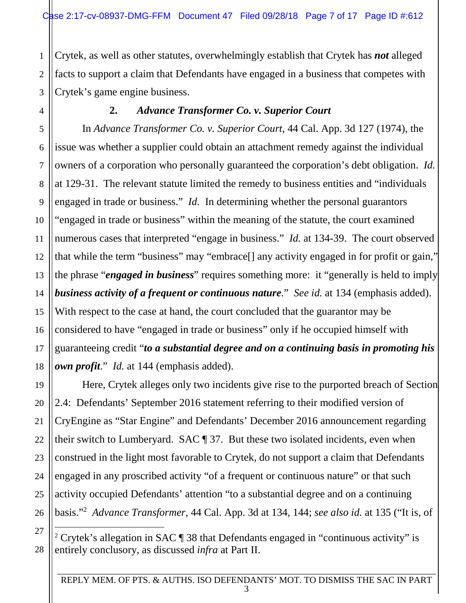1 2 Crytek, as well as other statutes, overwhelmingly establish that Crytek has *not* alleged facts to support a claim that Defendants have engaged in a business that competes with Crytek's game engine business.

### **2.** *Advance Transformer Co. v. Superior Court*

In *Advance Transformer Co. v. Superior Court*, 44 Cal. App. 3d 127 (1974), the issue was whether a supplier could obtain an attachment remedy against the individual owners of a corporation who personally guaranteed the corporation's debt obligation. *Id.* at 129-31. The relevant statute limited the remedy to business entities and "individuals engaged in trade or business." *Id.* In determining whether the personal guarantors "engaged in trade or business" within the meaning of the statute, the court examined numerous cases that interpreted "engage in business." *Id.* at 134-39. The court observed that while the term "business" may "embrace[] any activity engaged in for profit or gain," the phrase "*engaged in business*" requires something more: it "generally is held to imply *business activity of a frequent or continuous nature*." *See id.* at 134 (emphasis added). With respect to the case at hand, the court concluded that the guarantor may be considered to have "engaged in trade or business" only if he occupied himself with guaranteeing credit "*to a substantial degree and on a continuing basis in promoting his own profit*." *Id.* at 144 (emphasis added).

Here, Crytek alleges only two incidents give rise to the purported breach of Section 2.4: Defendants' September 2016 statement referring to their modified version of CryEngine as "Star Engine" and Defendants' December 2016 announcement regarding their switch to Lumberyard. SAC ¶ 37. But these two isolated incidents, even when construed in the light most favorable to Crytek, do not support a claim that Defendants engaged in any proscribed activity "of a frequent or continuous nature" or that such activity occupied Defendants' attention "to a substantial degree and on a continuing basis."<sup>2</sup> *Advance Transformer*, 44 Cal. App. 3d at 134, 144; *see also id.* at 135 ("It is, of

<sup>&</sup>lt;sup>2</sup> Crytek's allegation in SAC ¶ 38 that Defendants engaged in "continuous activity" is entirely conclusory, as discussed *infra* at Part II.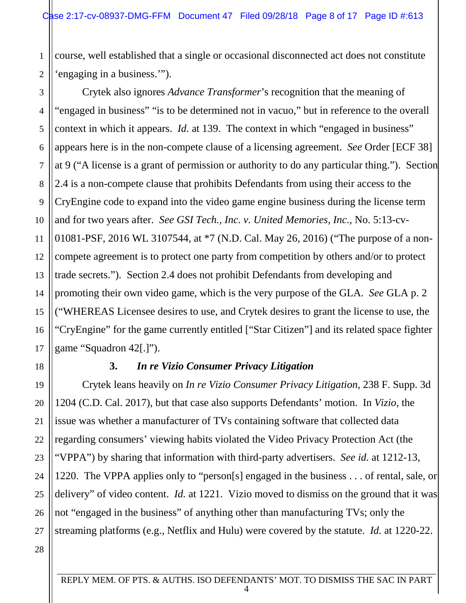1 2 course, well established that a single or occasional disconnected act does not constitute 'engaging in a business.'").

3 4 5 6 7 8 9 10 11 12 13 14 15 16 17 Crytek also ignores *Advance Transformer*'s recognition that the meaning of "engaged in business" "is to be determined not in vacuo," but in reference to the overall context in which it appears. *Id.* at 139. The context in which "engaged in business" appears here is in the non-compete clause of a licensing agreement. *See* Order [ECF 38] at 9 ("A license is a grant of permission or authority to do any particular thing."). Section 2.4 is a non-compete clause that prohibits Defendants from using their access to the CryEngine code to expand into the video game engine business during the license term and for two years after. *See GSI Tech., Inc. v. United Memories, Inc.*, No. 5:13-cv-01081-PSF, 2016 WL 3107544, at \*7 (N.D. Cal. May 26, 2016) ("The purpose of a noncompete agreement is to protect one party from competition by others and/or to protect trade secrets."). Section 2.4 does not prohibit Defendants from developing and promoting their own video game, which is the very purpose of the GLA. *See* GLA p. 2 ("WHEREAS Licensee desires to use, and Crytek desires to grant the license to use, the "CryEngine" for the game currently entitled ["Star Citizen"] and its related space fighter game "Squadron 42[.]").

18

19

20

21

22

23

24

25

26

27

### **3.** *In re Vizio Consumer Privacy Litigation*

Crytek leans heavily on *In re Vizio Consumer Privacy Litigation*, 238 F. Supp. 3d 1204 (C.D. Cal. 2017), but that case also supports Defendants' motion. In *Vizio*, the issue was whether a manufacturer of TVs containing software that collected data regarding consumers' viewing habits violated the Video Privacy Protection Act (the "VPPA") by sharing that information with third-party advertisers. *See id.* at 1212-13, 1220. The VPPA applies only to "person[s] engaged in the business . . . of rental, sale, or delivery" of video content. *Id.* at 1221. Vizio moved to dismiss on the ground that it was not "engaged in the business" of anything other than manufacturing TVs; only the streaming platforms (e.g., Netflix and Hulu) were covered by the statute. *Id.* at 1220-22.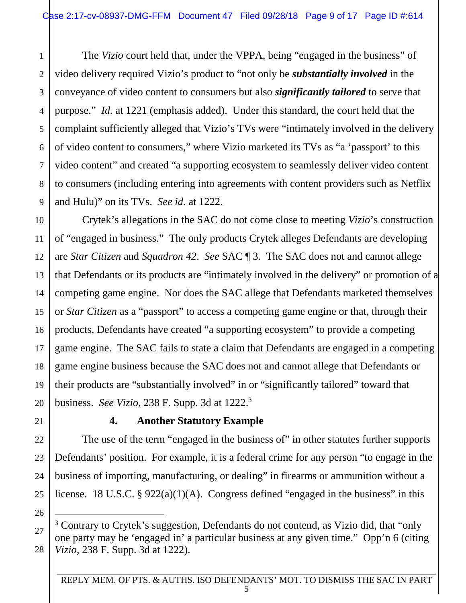1 2 3 4 5 6 7 8 9 The *Vizio* court held that, under the VPPA, being "engaged in the business" of video delivery required Vizio's product to "not only be *substantially involved* in the conveyance of video content to consumers but also *significantly tailored* to serve that purpose." *Id.* at 1221 (emphasis added). Under this standard, the court held that the complaint sufficiently alleged that Vizio's TVs were "intimately involved in the delivery of video content to consumers," where Vizio marketed its TVs as "a 'passport' to this video content" and created "a supporting ecosystem to seamlessly deliver video content to consumers (including entering into agreements with content providers such as Netflix and Hulu)" on its TVs. *See id.* at 1222.

10 11 12 13 14 15 16 17 18 19 20 Crytek's allegations in the SAC do not come close to meeting *Vizio*'s construction of "engaged in business." The only products Crytek alleges Defendants are developing are *Star Citizen* and *Squadron 42*. *See* SAC ¶ 3. The SAC does not and cannot allege that Defendants or its products are "intimately involved in the delivery" or promotion of a competing game engine. Nor does the SAC allege that Defendants marketed themselves or *Star Citizen* as a "passport" to access a competing game engine or that, through their products, Defendants have created "a supporting ecosystem" to provide a competing game engine. The SAC fails to state a claim that Defendants are engaged in a competing game engine business because the SAC does not and cannot allege that Defendants or their products are "substantially involved" in or "significantly tailored" toward that business. *See Vizio*, 238 F. Supp. 3d at 1222.<sup>3</sup>

### **4. Another Statutory Example**

The use of the term "engaged in the business of" in other statutes further supports Defendants' position. For example, it is a federal crime for any person "to engage in the business of importing, manufacturing, or dealing" in firearms or ammunition without a license. 18 U.S.C. § 922(a)(1)(A). Congress defined "engaged in the business" in this

25 26

28

24 27

21

22

<sup>&</sup>lt;sup>3</sup> Contrary to Crytek's suggestion, Defendants do not contend, as Vizio did, that "only one party may be 'engaged in' a particular business at any given time." Opp'n 6 (citing *Vizio*, 238 F. Supp. 3d at 1222).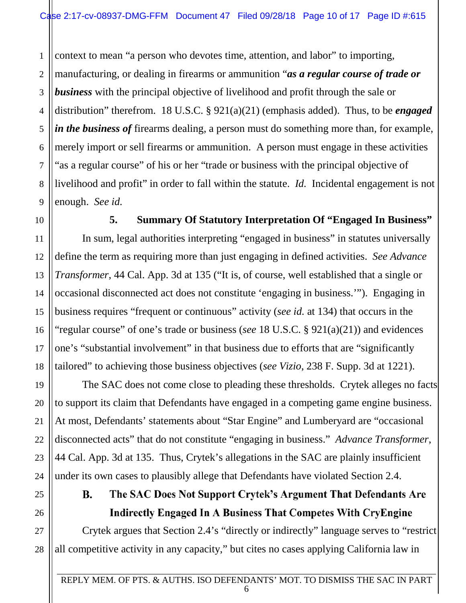1 2 3 4 5 6 7 8 9 context to mean "a person who devotes time, attention, and labor" to importing, manufacturing, or dealing in firearms or ammunition "*as a regular course of trade or business* with the principal objective of livelihood and profit through the sale or distribution" therefrom. 18 U.S.C. § 921(a)(21) (emphasis added). Thus, to be *engaged in the business of* firearms dealing, a person must do something more than, for example, merely import or sell firearms or ammunition. A person must engage in these activities "as a regular course" of his or her "trade or business with the principal objective of livelihood and profit" in order to fall within the statute. *Id.* Incidental engagement is not enough. *See id.* 

**5. Summary Of Statutory Interpretation Of "Engaged In Business"** 

In sum, legal authorities interpreting "engaged in business" in statutes universally define the term as requiring more than just engaging in defined activities. *See Advance Transformer*, 44 Cal. App. 3d at 135 ("It is, of course, well established that a single or occasional disconnected act does not constitute 'engaging in business.'"). Engaging in business requires "frequent or continuous" activity (*see id.* at 134) that occurs in the "regular course" of one's trade or business (*see* 18 U.S.C. § 921(a)(21)) and evidences one's "substantial involvement" in that business due to efforts that are "significantly tailored" to achieving those business objectives (*see Vizio*, 238 F. Supp. 3d at 1221).

The SAC does not come close to pleading these thresholds. Crytek alleges no facts to support its claim that Defendants have engaged in a competing game engine business. At most, Defendants' statements about "Star Engine" and Lumberyard are "occasional disconnected acts" that do not constitute "engaging in business." *Advance Transformer*, 44 Cal. App. 3d at 135. Thus, Crytek's allegations in the SAC are plainly insufficient under its own cases to plausibly allege that Defendants have violated Section 2.4.

### B. The SAC Does Not Support Crytek's Argument That Defendants Are Indirectly Engaged In A Business That Competes With CryEngine

Crytek argues that Section 2.4's "directly or indirectly" language serves to "restrict all competitive activity in any capacity," but cites no cases applying California law in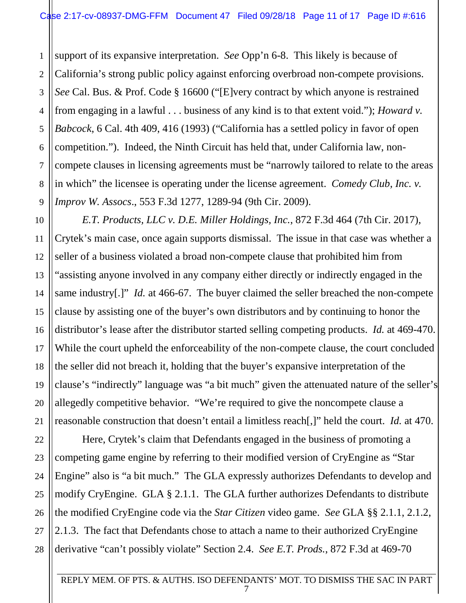1  $\mathfrak{D}$ 3 4 support of its expansive interpretation. *See* Opp'n 6-8. This likely is because of California's strong public policy against enforcing overbroad non-compete provisions. *See* Cal. Bus. & Prof. Code § 16600 ("[E]very contract by which anyone is restrained from engaging in a lawful . . . business of any kind is to that extent void."); *Howard v. Babcock*, 6 Cal. 4th 409, 416 (1993) ("California has a settled policy in favor of open competition."). Indeed, the Ninth Circuit has held that, under California law, noncompete clauses in licensing agreements must be "narrowly tailored to relate to the areas in which" the licensee is operating under the license agreement. *Comedy Club, Inc. v. Improv W. Assocs*., 553 F.3d 1277, 1289-94 (9th Cir. 2009).

*E.T. Products, LLC v. D.E. Miller Holdings, Inc.*, 872 F.3d 464 (7th Cir. 2017), Crytek's main case, once again supports dismissal. The issue in that case was whether a seller of a business violated a broad non-compete clause that prohibited him from "assisting anyone involved in any company either directly or indirectly engaged in the same industry[.]" *Id.* at 466-67. The buyer claimed the seller breached the non-compete clause by assisting one of the buyer's own distributors and by continuing to honor the distributor's lease after the distributor started selling competing products. *Id.* at 469-470. While the court upheld the enforceability of the non-compete clause, the court concluded the seller did not breach it, holding that the buyer's expansive interpretation of the clause's "indirectly" language was "a bit much" given the attenuated nature of the seller's allegedly competitive behavior. "We're required to give the noncompete clause a reasonable construction that doesn't entail a limitless reach[,]" held the court. *Id.* at 470.

Here, Crytek's claim that Defendants engaged in the business of promoting a competing game engine by referring to their modified version of CryEngine as "Star Engine" also is "a bit much." The GLA expressly authorizes Defendants to develop and modify CryEngine. GLA § 2.1.1. The GLA further authorizes Defendants to distribute the modified CryEngine code via the *Star Citizen* video game. *See* GLA §§ 2.1.1, 2.1.2, 2.1.3. The fact that Defendants chose to attach a name to their authorized CryEngine derivative "can't possibly violate" Section 2.4. *See E.T. Prods.*, 872 F.3d at 469-70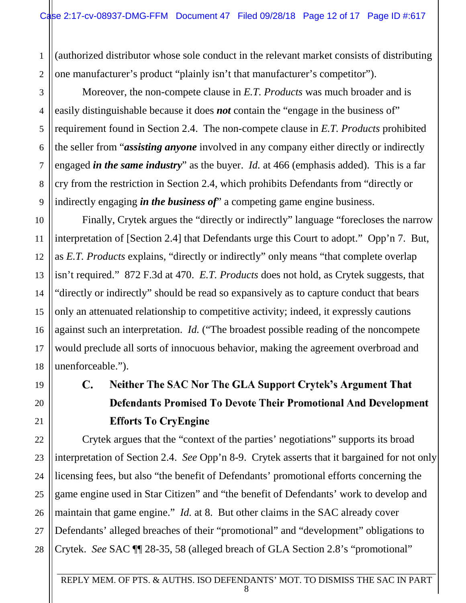1 2 (authorized distributor whose sole conduct in the relevant market consists of distributing one manufacturer's product "plainly isn't that manufacturer's competitor").

Moreover, the non-compete clause in *E.T. Products* was much broader and is easily distinguishable because it does *not* contain the "engage in the business of" requirement found in Section 2.4. The non-compete clause in *E.T. Products* prohibited the seller from "*assisting anyone* involved in any company either directly or indirectly engaged *in the same industry*" as the buyer. *Id.* at 466 (emphasis added). This is a far cry from the restriction in Section 2.4, which prohibits Defendants from "directly or indirectly engaging *in the business of*" a competing game engine business.

Finally, Crytek argues the "directly or indirectly" language "forecloses the narrow interpretation of [Section 2.4] that Defendants urge this Court to adopt." Opp'n 7. But, as *E.T. Products* explains, "directly or indirectly" only means "that complete overlap isn't required." 872 F.3d at 470. *E.T. Products* does not hold, as Crytek suggests, that "directly or indirectly" should be read so expansively as to capture conduct that bears only an attenuated relationship to competitive activity; indeed, it expressly cautions against such an interpretation. *Id.* ("The broadest possible reading of the noncompete would preclude all sorts of innocuous behavior, making the agreement overbroad and unenforceable.").

# C. Neither The SAC Nor The GLA Support Crytek's Argument That Defendants Promised To Devote Their Promotional And Development Efforts To CryEngine

Crytek argues that the "context of the parties' negotiations" supports its broad interpretation of Section 2.4. *See* Opp'n 8-9. Crytek asserts that it bargained for not only licensing fees, but also "the benefit of Defendants' promotional efforts concerning the game engine used in Star Citizen" and "the benefit of Defendants' work to develop and maintain that game engine." *Id.* at 8. But other claims in the SAC already cover Defendants' alleged breaches of their "promotional" and "development" obligations to Crytek. *See* SAC ¶¶ 28-35, 58 (alleged breach of GLA Section 2.8's "promotional"

28

3

4

5

6

7

8

9

10

11

12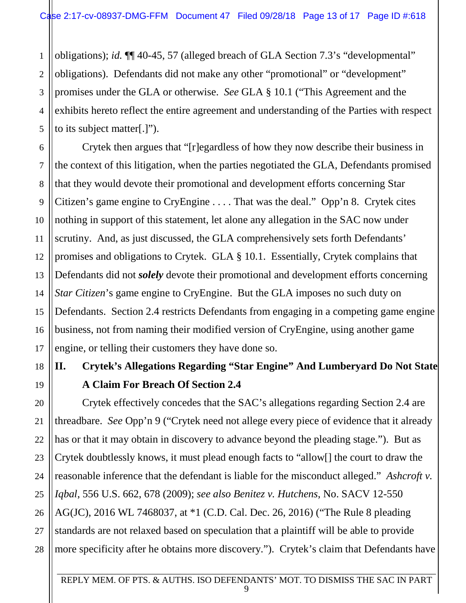1 2 obligations); *id.* ¶¶ 40-45, 57 (alleged breach of GLA Section 7.3's "developmental" obligations). Defendants did not make any other "promotional" or "development" promises under the GLA or otherwise. *See* GLA § 10.1 ("This Agreement and the exhibits hereto reflect the entire agreement and understanding of the Parties with respect to its subject matter[.]").

Crytek then argues that "[r]egardless of how they now describe their business in the context of this litigation, when the parties negotiated the GLA, Defendants promised that they would devote their promotional and development efforts concerning Star Citizen's game engine to CryEngine . . . . That was the deal." Opp'n 8. Crytek cites nothing in support of this statement, let alone any allegation in the SAC now under scrutiny. And, as just discussed, the GLA comprehensively sets forth Defendants' promises and obligations to Crytek. GLA § 10.1. Essentially, Crytek complains that Defendants did not *solely* devote their promotional and development efforts concerning *Star Citizen*'s game engine to CryEngine. But the GLA imposes no such duty on Defendants. Section 2.4 restricts Defendants from engaging in a competing game engine business, not from naming their modified version of CryEngine, using another game engine, or telling their customers they have done so.

## **II. Crytek's Allegations Regarding "Star Engine" And Lumberyard Do Not State A Claim For Breach Of Section 2.4**

Crytek effectively concedes that the SAC's allegations regarding Section 2.4 are threadbare. *See* Opp'n 9 ("Crytek need not allege every piece of evidence that it already has or that it may obtain in discovery to advance beyond the pleading stage."). But as Crytek doubtlessly knows, it must plead enough facts to "allow[] the court to draw the reasonable inference that the defendant is liable for the misconduct alleged." *Ashcroft v. Iqbal*, 556 U.S. 662, 678 (2009); *see also Benitez v. Hutchens*, No. SACV 12-550 AG(JC), 2016 WL 7468037, at \*1 (C.D. Cal. Dec. 26, 2016) ("The Rule 8 pleading standards are not relaxed based on speculation that a plaintiff will be able to provide more specificity after he obtains more discovery."). Crytek's claim that Defendants have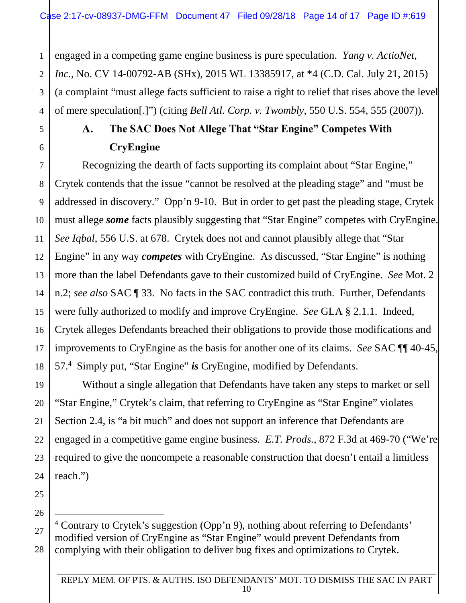1 2 3 4 engaged in a competing game engine business is pure speculation. *Yang v. ActioNet, Inc.*, No. CV 14-00792-AB (SHx), 2015 WL 13385917, at \*4 (C.D. Cal. July 21, 2015) (a complaint "must allege facts sufficient to raise a right to relief that rises above the level of mere speculation[.]") (citing *Bell Atl. Corp. v. Twombly*, 550 U.S. 554, 555 (2007)).

5

6

7

8

9

10

11

12

13

14

15

16

17

18

19

20

21

22

## A. The SAC Does Not Allege That "Star Engine" Competes With CryEngine

Recognizing the dearth of facts supporting its complaint about "Star Engine," Crytek contends that the issue "cannot be resolved at the pleading stage" and "must be addressed in discovery." Opp'n 9-10. But in order to get past the pleading stage, Crytek must allege *some* facts plausibly suggesting that "Star Engine" competes with CryEngine. *See Iqbal*, 556 U.S. at 678. Crytek does not and cannot plausibly allege that "Star Engine" in any way *competes* with CryEngine. As discussed, "Star Engine" is nothing more than the label Defendants gave to their customized build of CryEngine. *See* Mot. 2 n.2; *see also* SAC ¶ 33. No facts in the SAC contradict this truth. Further, Defendants were fully authorized to modify and improve CryEngine. *See* GLA § 2.1.1. Indeed, Crytek alleges Defendants breached their obligations to provide those modifications and improvements to CryEngine as the basis for another one of its claims. *See* SAC ¶¶ 40-45, 57.<sup>4</sup> Simply put, "Star Engine" *is* CryEngine, modified by Defendants.

Without a single allegation that Defendants have taken any steps to market or sell "Star Engine," Crytek's claim, that referring to CryEngine as "Star Engine" violates Section 2.4, is "a bit much" and does not support an inference that Defendants are engaged in a competitive game engine business. *E.T. Prods.*, 872 F.3d at 469-70 ("We're required to give the noncompete a reasonable construction that doesn't entail a limitless reach.")

28 <sup>4</sup> Contrary to Crytek's suggestion (Opp'n 9), nothing about referring to Defendants' modified version of CryEngine as "Star Engine" would prevent Defendants from complying with their obligation to deliver bug fixes and optimizations to Crytek.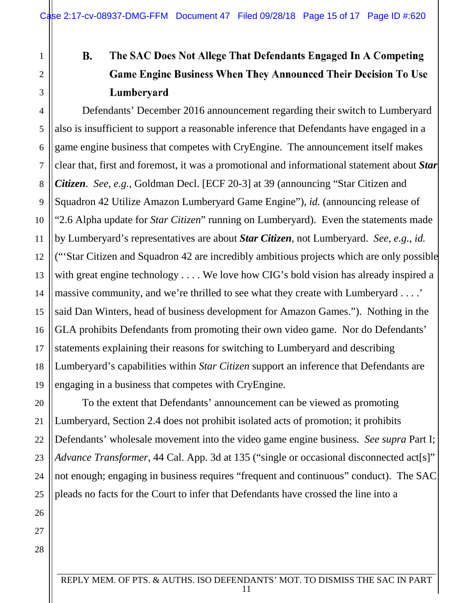# B. The SAC Does Not Allege That Defendants Engaged In A Competing Game Engine Business When They Announced Their Decision To Use Lumberyard

Defendants' December 2016 announcement regarding their switch to Lumberyard also is insufficient to support a reasonable inference that Defendants have engaged in a game engine business that competes with CryEngine. The announcement itself makes clear that, first and foremost, it was a promotional and informational statement about *Star Citizen*. *See, e.g.*, Goldman Decl. [ECF 20-3] at 39 (announcing "Star Citizen and Squadron 42 Utilize Amazon Lumberyard Game Engine"), *id.* (announcing release of "2.6 Alpha update for *Star Citizen*" running on Lumberyard). Even the statements made by Lumberyard's representatives are about *Star Citizen*, not Lumberyard. *See, e.g.*, *id.* ("'Star Citizen and Squadron 42 are incredibly ambitious projects which are only possible with great engine technology . . . . We love how CIG's bold vision has already inspired a massive community, and we're thrilled to see what they create with Lumberyard . . . .' said Dan Winters, head of business development for Amazon Games."). Nothing in the GLA prohibits Defendants from promoting their own video game. Nor do Defendants' statements explaining their reasons for switching to Lumberyard and describing Lumberyard's capabilities within *Star Citizen* support an inference that Defendants are engaging in a business that competes with CryEngine.

To the extent that Defendants' announcement can be viewed as promoting Lumberyard, Section 2.4 does not prohibit isolated acts of promotion; it prohibits Defendants' wholesale movement into the video game engine business. *See supra* Part I; *Advance Transformer*, 44 Cal. App. 3d at 135 ("single or occasional disconnected act[s]" not enough; engaging in business requires "frequent and continuous" conduct). The SAC pleads no facts for the Court to infer that Defendants have crossed the line into a

27 28

24

25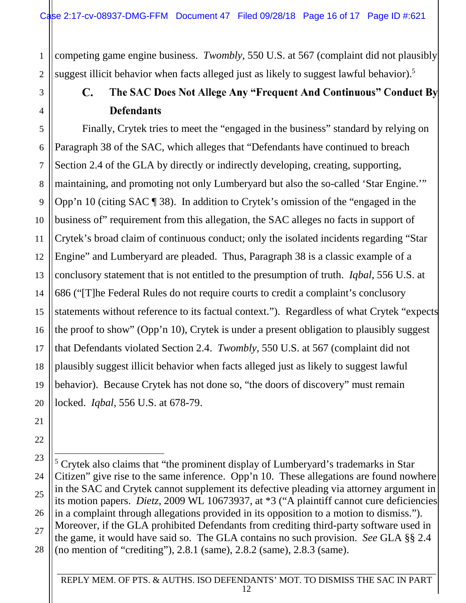1 2 competing game engine business. *Twombly,* 550 U.S. at 567 (complaint did not plausibly suggest illicit behavior when facts alleged just as likely to suggest lawful behavior).<sup>5</sup>

## C. The SAC Does Not Allege Any "Frequent And Continuous" Conduct By **Defendants**

8 10 12 13 Finally, Crytek tries to meet the "engaged in the business" standard by relying on Paragraph 38 of the SAC, which alleges that "Defendants have continued to breach Section 2.4 of the GLA by directly or indirectly developing, creating, supporting, maintaining, and promoting not only Lumberyard but also the so-called 'Star Engine.'" Opp'n 10 (citing SAC ¶ 38). In addition to Crytek's omission of the "engaged in the business of" requirement from this allegation, the SAC alleges no facts in support of Crytek's broad claim of continuous conduct; only the isolated incidents regarding "Star Engine" and Lumberyard are pleaded. Thus, Paragraph 38 is a classic example of a conclusory statement that is not entitled to the presumption of truth. *Iqbal*, 556 U.S. at 686 ("[T]he Federal Rules do not require courts to credit a complaint's conclusory statements without reference to its factual context."). Regardless of what Crytek "expects the proof to show" (Opp'n 10), Crytek is under a present obligation to plausibly suggest that Defendants violated Section 2.4. *Twombly,* 550 U.S. at 567 (complaint did not plausibly suggest illicit behavior when facts alleged just as likely to suggest lawful behavior). Because Crytek has not done so, "the doors of discovery" must remain locked. *Iqbal*, 556 U.S. at 678-79.

3

4

5

6

7

9

11

<sup>5</sup> Crytek also claims that "the prominent display of Lumberyard's trademarks in Star Citizen" give rise to the same inference. Opp'n 10. These allegations are found nowhere in the SAC and Crytek cannot supplement its defective pleading via attorney argument in its motion papers. *Dietz*, 2009 WL 10673937, at \*3 ("A plaintiff cannot cure deficiencies in a complaint through allegations provided in its opposition to a motion to dismiss."). Moreover, if the GLA prohibited Defendants from crediting third-party software used in the game, it would have said so. The GLA contains no such provision. *See* GLA §§ 2.4 (no mention of "crediting"), 2.8.1 (same), 2.8.2 (same), 2.8.3 (same).